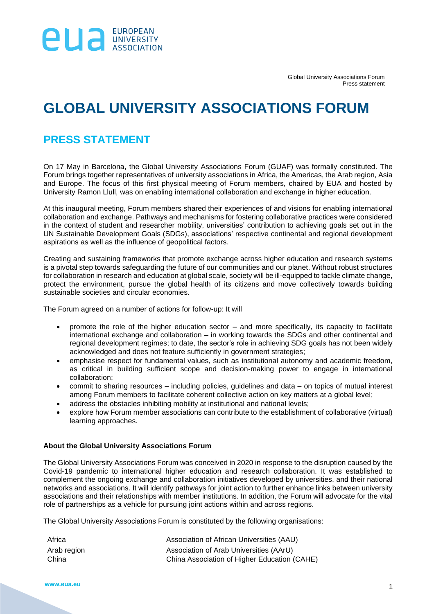

Global University Associations Forum Press statement

## **GLOBAL UNIVERSITY ASSOCIATIONS FORUM**

## **PRESS STATEMENT**

On 17 May in Barcelona, the Global University Associations Forum (GUAF) was formally constituted. The Forum brings together representatives of university associations in Africa, the Americas, the Arab region, Asia and Europe. The focus of this first physical meeting of Forum members, chaired by EUA and hosted by University Ramon Llull, was on enabling international collaboration and exchange in higher education.

At this inaugural meeting, Forum members shared their experiences of and visions for enabling international collaboration and exchange. Pathways and mechanisms for fostering collaborative practices were considered in the context of student and researcher mobility, universities' contribution to achieving goals set out in the UN Sustainable Development Goals (SDGs), associations' respective continental and regional development aspirations as well as the influence of geopolitical factors.

Creating and sustaining frameworks that promote exchange across higher education and research systems is a pivotal step towards safeguarding the future of our communities and our planet. Without robust structures for collaboration in research and education at global scale, society will be ill-equipped to tackle climate change, protect the environment, pursue the global health of its citizens and move collectively towards building sustainable societies and circular economies.

The Forum agreed on a number of actions for follow-up: It will

- promote the role of the higher education sector and more specifically, its capacity to facilitate international exchange and collaboration – in working towards the SDGs and other continental and regional development regimes; to date, the sector's role in achieving SDG goals has not been widely acknowledged and does not feature sufficiently in government strategies;
- emphasise respect for fundamental values, such as institutional autonomy and academic freedom, as critical in building sufficient scope and decision-making power to engage in international collaboration;
- commit to sharing resources including policies, guidelines and data on topics of mutual interest among Forum members to facilitate coherent collective action on key matters at a global level;
- address the obstacles inhibiting mobility at institutional and national levels;
- explore how Forum member associations can contribute to the establishment of collaborative (virtual) learning approaches.

## **About the Global University Associations Forum**

The Global University Associations Forum was conceived in 2020 in response to the disruption caused by the Covid-19 pandemic to international higher education and research collaboration. It was established to complement the ongoing exchange and collaboration initiatives developed by universities, and their national networks and associations. It will identify pathways for joint action to further enhance links between university associations and their relationships with member institutions. In addition, the Forum will advocate for the vital role of partnerships as a vehicle for pursuing joint actions within and across regions.

The Global University Associations Forum is constituted by the following organisations:

| Africa      | Association of African Universities (AAU)    |
|-------------|----------------------------------------------|
| Arab region | Association of Arab Universities (AArU)      |
| China       | China Association of Higher Education (CAHE) |